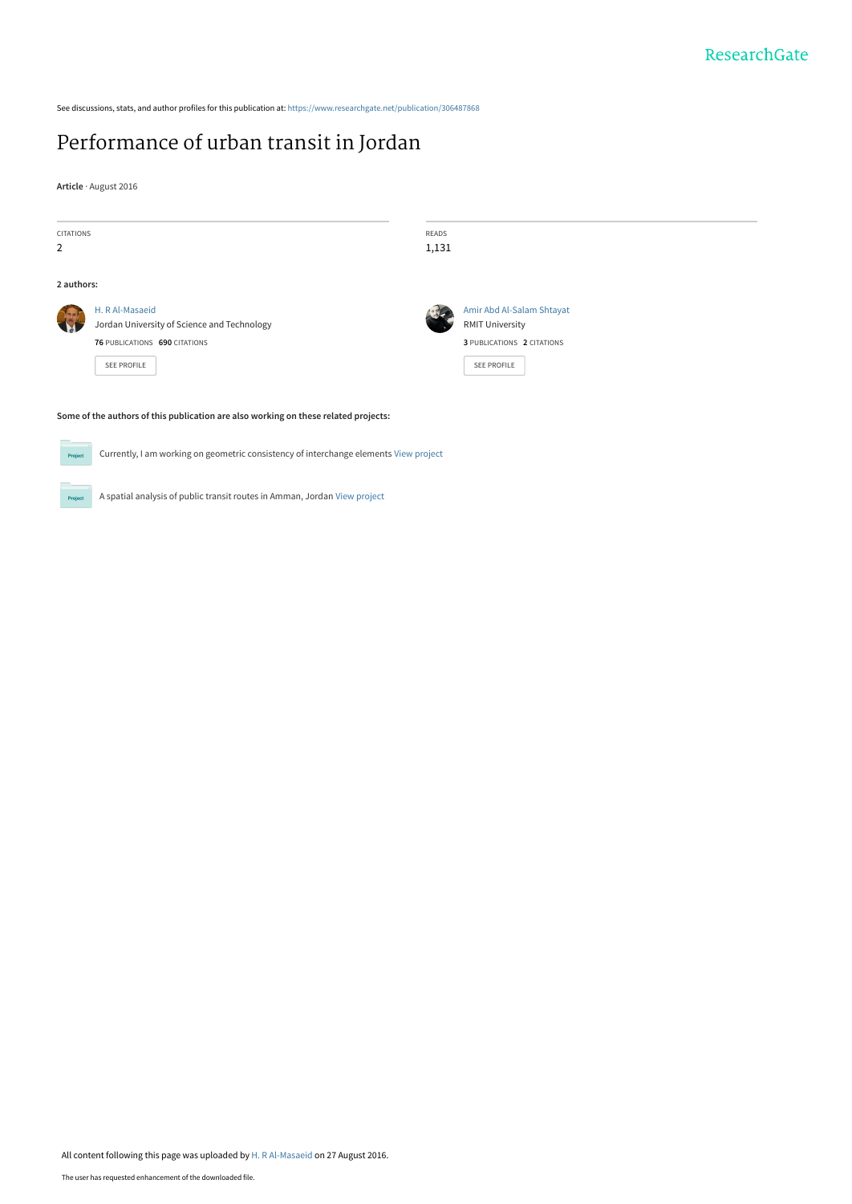See discussions, stats, and author profiles for this publication at: [https://www.researchgate.net/publication/306487868](https://www.researchgate.net/publication/306487868_Performance_of_urban_transit_in_Jordan?enrichId=rgreq-9348be009631066a2bbc89eb0c98850d-XXX&enrichSource=Y292ZXJQYWdlOzMwNjQ4Nzg2ODtBUzozOTk2MDE4MDc5NzAzMDRAMTQ3MjI4MzkwMzc4Mg%3D%3D&el=1_x_2&_esc=publicationCoverPdf)

# [Performance of urban transit in Jordan](https://www.researchgate.net/publication/306487868_Performance_of_urban_transit_in_Jordan?enrichId=rgreq-9348be009631066a2bbc89eb0c98850d-XXX&enrichSource=Y292ZXJQYWdlOzMwNjQ4Nzg2ODtBUzozOTk2MDE4MDc5NzAzMDRAMTQ3MjI4MzkwMzc4Mg%3D%3D&el=1_x_3&_esc=publicationCoverPdf)

A spatial analysis of public transit routes in Amman, Jordan [View project](https://www.researchgate.net/project/A-spatial-analysis-of-public-transit-routes-in-Amman-Jordan?enrichId=rgreq-9348be009631066a2bbc89eb0c98850d-XXX&enrichSource=Y292ZXJQYWdlOzMwNjQ4Nzg2ODtBUzozOTk2MDE4MDc5NzAzMDRAMTQ3MjI4MzkwMzc4Mg%3D%3D&el=1_x_9&_esc=publicationCoverPdf)

**Article** · August 2016

**Project** 

| CITATIONS      |                                                                                       | READS |                            |
|----------------|---------------------------------------------------------------------------------------|-------|----------------------------|
| $\overline{2}$ |                                                                                       | 1,131 |                            |
| 2 authors:     |                                                                                       |       |                            |
|                | H. R Al-Masaeid                                                                       |       | Amir Abd Al-Salam Shtayat  |
| 3              | Jordan University of Science and Technology                                           |       | <b>RMIT University</b>     |
|                | 76 PUBLICATIONS 690 CITATIONS                                                         |       | 3 PUBLICATIONS 2 CITATIONS |
|                | <b>SEE PROFILE</b>                                                                    |       | <b>SEE PROFILE</b>         |
|                |                                                                                       |       |                            |
|                | Some of the authors of this publication are also working on these related projects:   |       |                            |
| Project        | Currently, I am working on geometric consistency of interchange elements View project |       |                            |

All content following this page was uploaded by [H. R Al-Masaeid](https://www.researchgate.net/profile/H_Al-Masaeid?enrichId=rgreq-9348be009631066a2bbc89eb0c98850d-XXX&enrichSource=Y292ZXJQYWdlOzMwNjQ4Nzg2ODtBUzozOTk2MDE4MDc5NzAzMDRAMTQ3MjI4MzkwMzc4Mg%3D%3D&el=1_x_10&_esc=publicationCoverPdf) on 27 August 2016.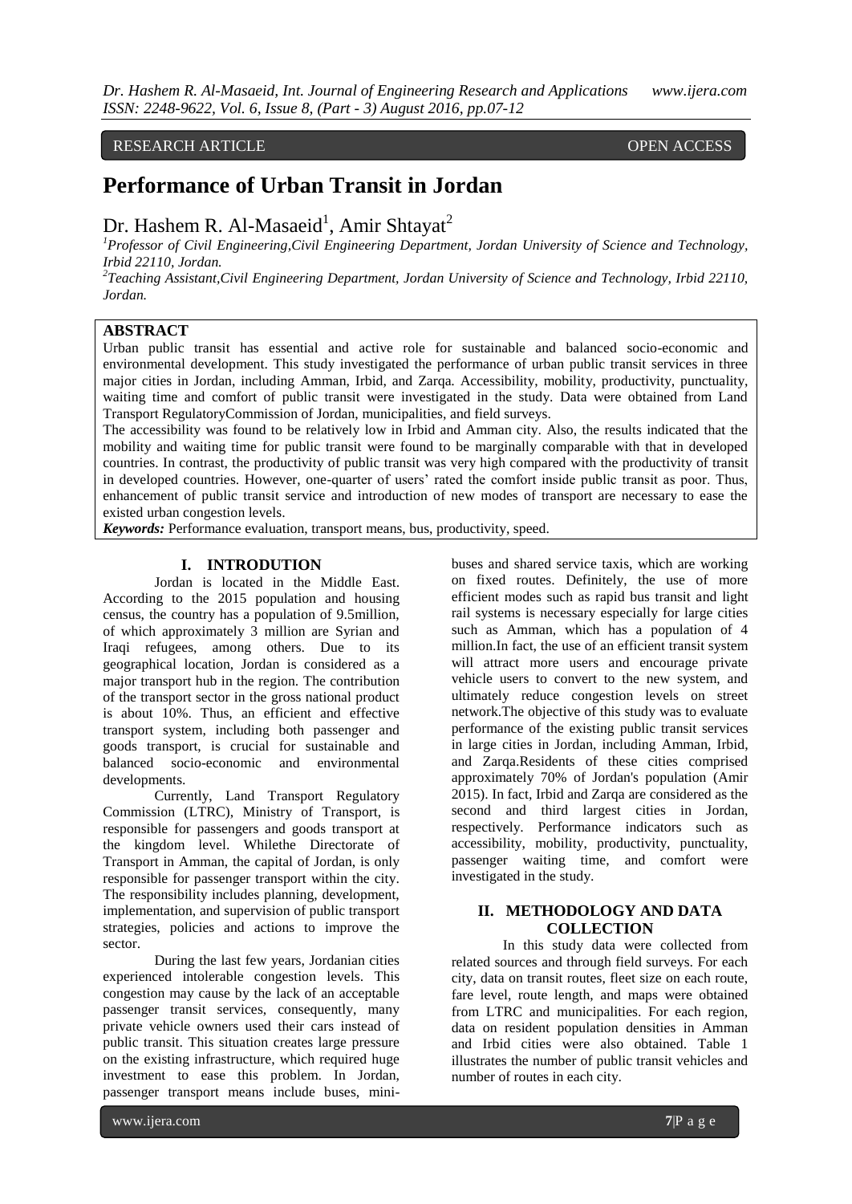#### RESEARCH ARTICLE OPEN ACCESS

## **Performance of Urban Transit in Jordan**

## Dr. Hashem R. Al-Masaeid<sup>1</sup>, Amir Shtayat<sup>2</sup>

*<sup>1</sup>Professor of Civil Engineering,Civil Engineering Department, Jordan University of Science and Technology, Irbid 22110, Jordan.* 

*2 Teaching Assistant,Civil Engineering Department, Jordan University of Science and Technology, Irbid 22110, Jordan.*

### **ABSTRACT**

Urban public transit has essential and active role for sustainable and balanced socio-economic and environmental development. This study investigated the performance of urban public transit services in three major cities in Jordan, including Amman, Irbid, and Zarqa. Accessibility, mobility, productivity, punctuality, waiting time and comfort of public transit were investigated in the study. Data were obtained from Land Transport RegulatoryCommission of Jordan, municipalities, and field surveys.

The accessibility was found to be relatively low in Irbid and Amman city. Also, the results indicated that the mobility and waiting time for public transit were found to be marginally comparable with that in developed countries. In contrast, the productivity of public transit was very high compared with the productivity of transit in developed countries. However, one-quarter of users' rated the comfort inside public transit as poor. Thus, enhancement of public transit service and introduction of new modes of transport are necessary to ease the existed urban congestion levels.

*Keywords:* Performance evaluation, transport means, bus, productivity, speed.

#### **I. INTRODUTION**

Jordan is located in the Middle East. According to the 2015 population and housing census, the country has a population of 9.5million, of which approximately 3 million are Syrian and Iraqi refugees, among others. Due to its geographical location, Jordan is considered as a major transport hub in the region. The contribution of the transport sector in the gross national product is about 10%. Thus, an efficient and effective transport system, including both passenger and goods transport, is crucial for sustainable and balanced socio-economic and environmental developments.

Currently, Land Transport Regulatory Commission (LTRC), Ministry of Transport, is responsible for passengers and goods transport at the kingdom level. Whilethe Directorate of Transport in Amman, the capital of Jordan, is only responsible for passenger transport within the city. The responsibility includes planning, development, implementation, and supervision of public transport strategies, policies and actions to improve the sector.

During the last few years, Jordanian cities experienced intolerable congestion levels. This congestion may cause by the lack of an acceptable passenger transit services, consequently, many private vehicle owners used their cars instead of public transit. This situation creates large pressure on the existing infrastructure, which required huge investment to ease this problem. In Jordan, passenger transport means include buses, minibuses and shared service taxis, which are working on fixed routes. Definitely, the use of more efficient modes such as rapid bus transit and light rail systems is necessary especially for large cities such as Amman, which has a population of 4 million.In fact, the use of an efficient transit system will attract more users and encourage private vehicle users to convert to the new system, and ultimately reduce congestion levels on street network.The objective of this study was to evaluate performance of the existing public transit services in large cities in Jordan, including Amman, Irbid, and Zarqa.Residents of these cities comprised approximately 70% of Jordan's population (Amir 2015). In fact, Irbid and Zarqa are considered as the second and third largest cities in Jordan, respectively. Performance indicators such as accessibility, mobility, productivity, punctuality, passenger waiting time, and comfort were investigated in the study.

#### **II. METHODOLOGY AND DATA COLLECTION**

In this study data were collected from related sources and through field surveys. For each city, data on transit routes, fleet size on each route, fare level, route length, and maps were obtained from LTRC and municipalities. For each region, data on resident population densities in Amman and Irbid cities were also obtained. Table 1 illustrates the number of public transit vehicles and number of routes in each city.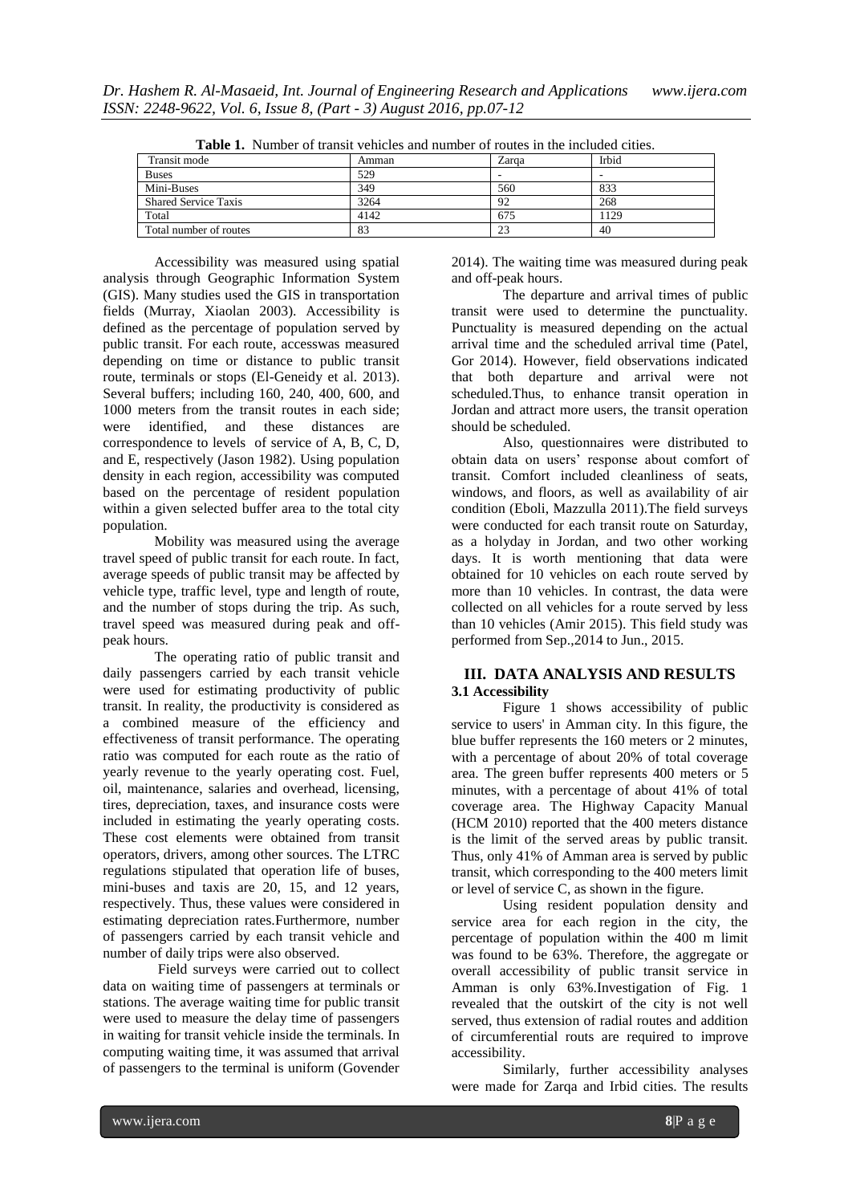| <b>Table 1.</b> INDITION OF HAISH VEHICLES and number of Foures in the included cities. |       |       |              |  |  |  |  |  |
|-----------------------------------------------------------------------------------------|-------|-------|--------------|--|--|--|--|--|
| Transit mode                                                                            | Amman | Zarga | <b>Irbid</b> |  |  |  |  |  |
| <b>Buses</b>                                                                            | 529   |       |              |  |  |  |  |  |
| Mini-Buses                                                                              | 349   | 560   | 833          |  |  |  |  |  |
| <b>Shared Service Taxis</b>                                                             | 3264  | 92    | 268          |  |  |  |  |  |
| Total                                                                                   | 4142  | 675   | 129          |  |  |  |  |  |
| Total number of routes                                                                  | 83    | 23    | 40           |  |  |  |  |  |

**Table 1.** Number of transit vehicles and number of routes in the included cities.

Accessibility was measured using spatial analysis through Geographic Information System (GIS). Many studies used the GIS in transportation fields (Murray, Xiaolan 2003). Accessibility is defined as the percentage of population served by public transit. For each route, accesswas measured depending on time or distance to public transit route, terminals or stops (El-Geneidy et al. 2013). Several buffers; including 160, 240, 400, 600, and 1000 meters from the transit routes in each side; were identified, and these distances are correspondence to levels of service of A, B, C, D, and E, respectively (Jason 1982). Using population density in each region, accessibility was computed based on the percentage of resident population within a given selected buffer area to the total city population.

Mobility was measured using the average travel speed of public transit for each route. In fact, average speeds of public transit may be affected by vehicle type, traffic level, type and length of route, and the number of stops during the trip. As such, travel speed was measured during peak and offpeak hours.

The operating ratio of public transit and daily passengers carried by each transit vehicle were used for estimating productivity of public transit. In reality, the productivity is considered as a combined measure of the efficiency and effectiveness of transit performance. The operating ratio was computed for each route as the ratio of yearly revenue to the yearly operating cost. Fuel, oil, maintenance, salaries and overhead, licensing, tires, depreciation, taxes, and insurance costs were included in estimating the yearly operating costs. These cost elements were obtained from transit operators, drivers, among other sources. The LTRC regulations stipulated that operation life of buses, mini-buses and taxis are 20, 15, and 12 years, respectively. Thus, these values were considered in estimating depreciation rates.Furthermore, number of passengers carried by each transit vehicle and number of daily trips were also observed.

Field surveys were carried out to collect data on waiting time of passengers at terminals or stations. The average waiting time for public transit were used to measure the delay time of passengers in waiting for transit vehicle inside the terminals. In computing waiting time, it was assumed that arrival of passengers to the terminal is uniform (Govender 2014). The waiting time was measured during peak and off-peak hours.

The departure and arrival times of public transit were used to determine the punctuality. Punctuality is measured depending on the actual arrival time and the scheduled arrival time (Patel, Gor 2014). However, field observations indicated that both departure and arrival were not scheduled.Thus, to enhance transit operation in Jordan and attract more users, the transit operation should be scheduled.

Also, questionnaires were distributed to obtain data on users' response about comfort of transit. Comfort included cleanliness of seats, windows, and floors, as well as availability of air condition (Eboli, Mazzulla 2011).The field surveys were conducted for each transit route on Saturday, as a holyday in Jordan, and two other working days. It is worth mentioning that data were obtained for 10 vehicles on each route served by more than 10 vehicles. In contrast, the data were collected on all vehicles for a route served by less than 10 vehicles (Amir 2015). This field study was performed from Sep.,2014 to Jun., 2015.

#### **III. DATA ANALYSIS AND RESULTS 3.1 Accessibility**

Figure 1 shows accessibility of public service to users' in Amman city. In this figure, the blue buffer represents the 160 meters or 2 minutes, with a percentage of about 20% of total coverage area. The green buffer represents 400 meters or 5 minutes, with a percentage of about 41% of total coverage area. The Highway Capacity Manual (HCM 2010) reported that the 400 meters distance is the limit of the served areas by public transit. Thus, only 41% of Amman area is served by public transit, which corresponding to the 400 meters limit or level of service C, as shown in the figure.

Using resident population density and service area for each region in the city, the percentage of population within the 400 m limit was found to be 63%. Therefore, the aggregate or overall accessibility of public transit service in Amman is only 63%.Investigation of Fig. 1 revealed that the outskirt of the city is not well served, thus extension of radial routes and addition of circumferential routs are required to improve accessibility.

Similarly, further accessibility analyses were made for Zarqa and Irbid cities. The results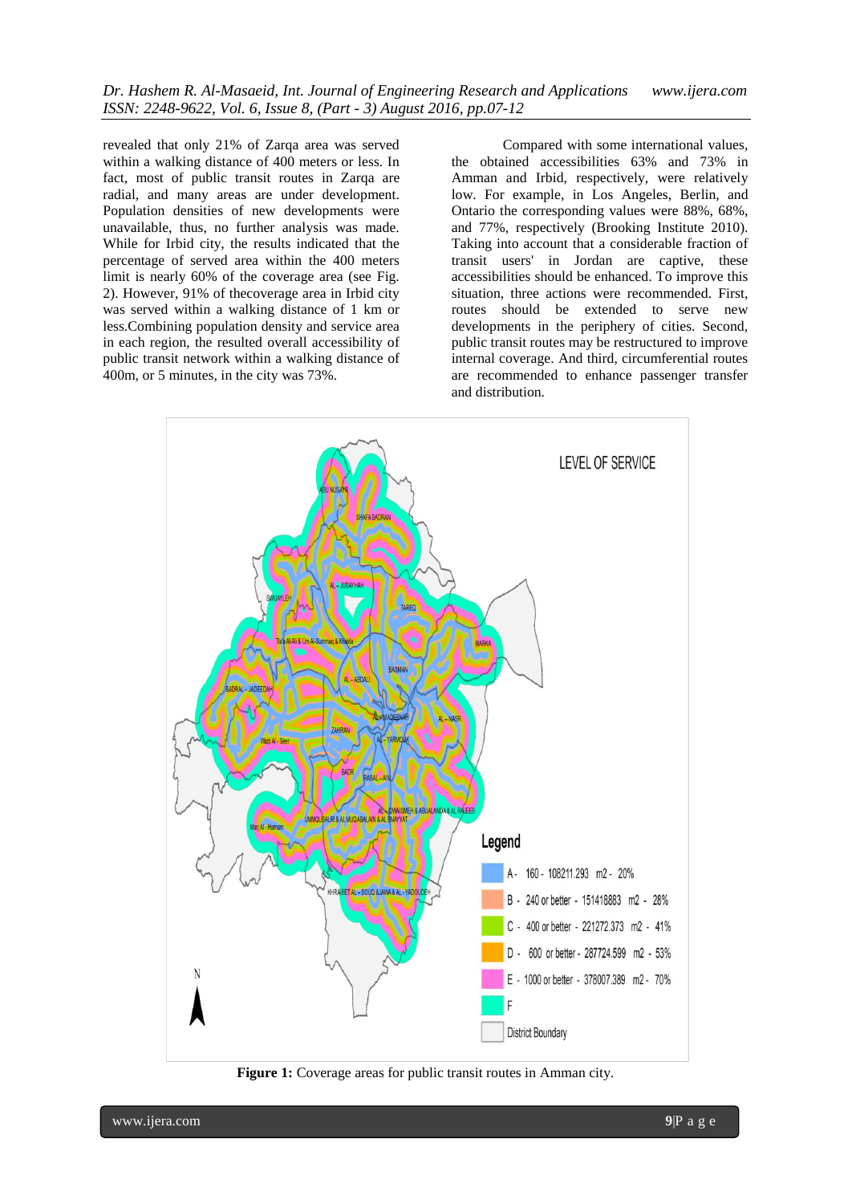revealed that only 21% of Zarqa area was served within a walking distance of 400 meters or less. In fact, most of public transit routes in Zarqa are radial, and many areas are under development. Population densities of new developments were unavailable, thus, no further analysis was made. While for Irbid city, the results indicated that the percentage of served area within the 400 meters limit is nearly 60% of the coverage area (see Fig. 2). However, 91% of thecoverage area in Irbid city was served within a walking distance of 1 km or less.Combining population density and service area in each region, the resulted overall accessibility of public transit network within a walking distance of 400m, or 5 minutes, in the city was 73%.

Compared with some international values, the obtained accessibilities 63% and 73% in Amman and Irbid, respectively, were relatively low. For example, in Los Angeles, Berlin, and Ontario the corresponding values were 88%, 68%, and 77%, respectively (Brooking Institute 2010). Taking into account that a considerable fraction of transit users' in Jordan are captive, these accessibilities should be enhanced. To improve this situation, three actions were recommended. First, routes should be extended to serve new developments in the periphery of cities. Second, public transit routes may be restructured to improve internal coverage. And third, circumferential routes are recommended to enhance passenger transfer and distribution.



**Figure 1:** Coverage areas for public transit routes in Amman city.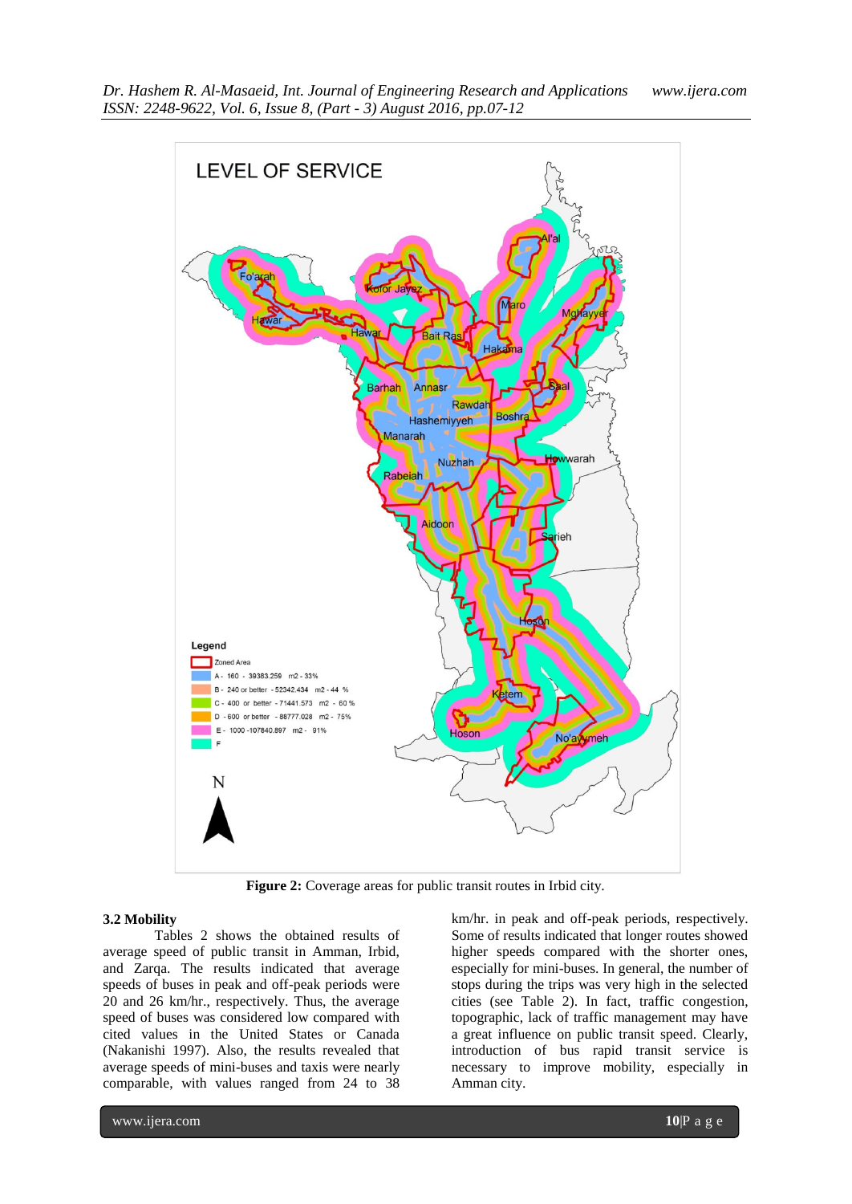

**Figure 2:** Coverage areas for public transit routes in Irbid city.

#### **3.2 Mobility**

Tables 2 shows the obtained results of average speed of public transit in Amman, Irbid, and Zarqa. The results indicated that average speeds of buses in peak and off-peak periods were 20 and 26 km/hr., respectively. Thus, the average speed of buses was considered low compared with cited values in the United States or Canada (Nakanishi 1997). Also, the results revealed that average speeds of mini-buses and taxis were nearly comparable, with values ranged from 24 to 38

km/hr. in peak and off-peak periods, respectively. Some of results indicated that longer routes showed higher speeds compared with the shorter ones, especially for mini-buses. In general, the number of stops during the trips was very high in the selected cities (see Table 2). In fact, traffic congestion, topographic, lack of traffic management may have a great influence on public transit speed. Clearly, introduction of bus rapid transit service is necessary to improve mobility, especially in Amman city.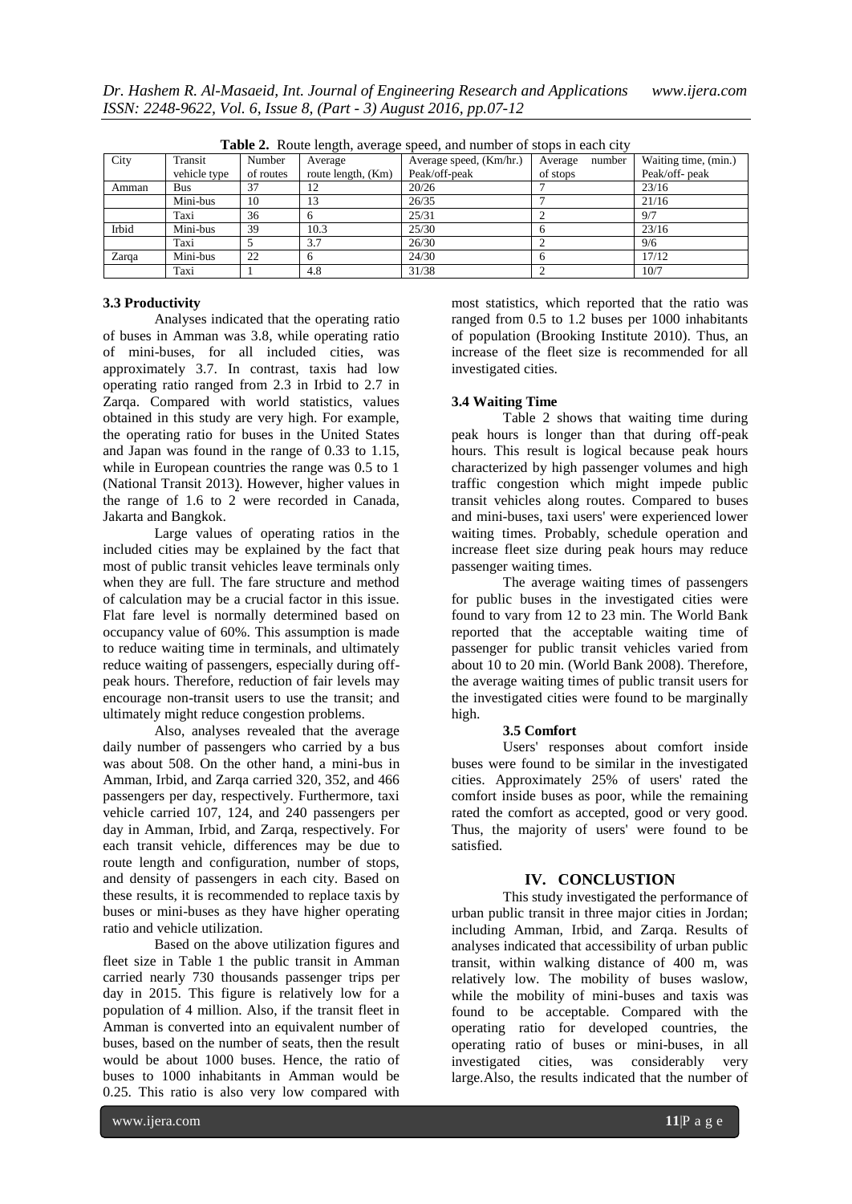| <b>Table 2.</b> Route length, average speed, and number of stops in each city |              |           |                    |                         |                   |                      |  |  |  |
|-------------------------------------------------------------------------------|--------------|-----------|--------------------|-------------------------|-------------------|----------------------|--|--|--|
| City                                                                          | Transit      | Number    | Average            | Average speed, (Km/hr.) | Average<br>number | Waiting time, (min.) |  |  |  |
|                                                                               | vehicle type | of routes | route length, (Km) | Peak/off-peak           | of stops          | Peak/off- peak       |  |  |  |
| Amman                                                                         | Bus          | 37        | 12                 | 20/26                   |                   | 23/16                |  |  |  |
|                                                                               | Mini-bus     | 10        | 13                 | 26/35                   |                   | 21/16                |  |  |  |
|                                                                               | Taxi         | 36        |                    | 25/31                   |                   | 9/7                  |  |  |  |
| Irbid                                                                         | Mini-bus     | 39        | 10.3               | 25/30                   |                   | 23/16                |  |  |  |
|                                                                               | Taxi         |           | 3.7                | 26/30                   |                   | 9/6                  |  |  |  |
| Zarqa                                                                         | Mini-bus     | 22        |                    | 24/30                   |                   | 17/12                |  |  |  |
|                                                                               | Taxi         |           | 4.8                | 31/38                   |                   | 10/7                 |  |  |  |

**Table 2.** Route length, average speed, and number of stops in each city

#### **3.3 Productivity**

Analyses indicated that the operating ratio of buses in Amman was 3.8, while operating ratio of mini-buses, for all included cities, was approximately 3.7. In contrast, taxis had low operating ratio ranged from 2.3 in Irbid to 2.7 in Zarqa. Compared with world statistics, values obtained in this study are very high. For example, the operating ratio for buses in the United States and Japan was found in the range of 0.33 to 1.15, while in European countries the range was 0.5 to 1 (National Transit 2013). However, higher values in the range of 1.6 to 2 were recorded in Canada, Jakarta and Bangkok.

Large values of operating ratios in the included cities may be explained by the fact that most of public transit vehicles leave terminals only when they are full. The fare structure and method of calculation may be a crucial factor in this issue. Flat fare level is normally determined based on occupancy value of 60%. This assumption is made to reduce waiting time in terminals, and ultimately reduce waiting of passengers, especially during offpeak hours. Therefore, reduction of fair levels may encourage non-transit users to use the transit; and ultimately might reduce congestion problems.

Also, analyses revealed that the average daily number of passengers who carried by a bus was about 508. On the other hand, a mini-bus in Amman, Irbid, and Zarqa carried 320, 352, and 466 passengers per day, respectively. Furthermore, taxi vehicle carried 107, 124, and 240 passengers per day in Amman, Irbid, and Zarqa, respectively. For each transit vehicle, differences may be due to route length and configuration, number of stops, and density of passengers in each city. Based on these results, it is recommended to replace taxis by buses or mini-buses as they have higher operating ratio and vehicle utilization.

Based on the above utilization figures and fleet size in Table 1 the public transit in Amman carried nearly 730 thousands passenger trips per day in 2015. This figure is relatively low for a population of 4 million. Also, if the transit fleet in Amman is converted into an equivalent number of buses, based on the number of seats, then the result would be about 1000 buses. Hence, the ratio of buses to 1000 inhabitants in Amman would be 0.25. This ratio is also very low compared with

most statistics, which reported that the ratio was ranged from 0.5 to 1.2 buses per 1000 inhabitants of population (Brooking Institute 2010). Thus, an increase of the fleet size is recommended for all investigated cities.

#### **3.4 Waiting Time**

Table 2 shows that waiting time during peak hours is longer than that during off-peak hours. This result is logical because peak hours characterized by high passenger volumes and high traffic congestion which might impede public transit vehicles along routes. Compared to buses and mini-buses, taxi users' were experienced lower waiting times. Probably, schedule operation and increase fleet size during peak hours may reduce passenger waiting times.

The average waiting times of passengers for public buses in the investigated cities were found to vary from 12 to 23 min. The World Bank reported that the acceptable waiting time of passenger for public transit vehicles varied from about 10 to 20 min. (World Bank 2008). Therefore, the average waiting times of public transit users for the investigated cities were found to be marginally high.

#### **3.5 Comfort**

Users' responses about comfort inside buses were found to be similar in the investigated cities. Approximately 25% of users' rated the comfort inside buses as poor, while the remaining rated the comfort as accepted, good or very good. Thus, the majority of users' were found to be satisfied.

#### **IV. CONCLUSTION**

This study investigated the performance of urban public transit in three major cities in Jordan; including Amman, Irbid, and Zarqa. Results of analyses indicated that accessibility of urban public transit, within walking distance of 400 m, was relatively low. The mobility of buses waslow, while the mobility of mini-buses and taxis was found to be acceptable. Compared with the operating ratio for developed countries, the operating ratio of buses or mini-buses, in all investigated cities, was considerably very large.Also, the results indicated that the number of